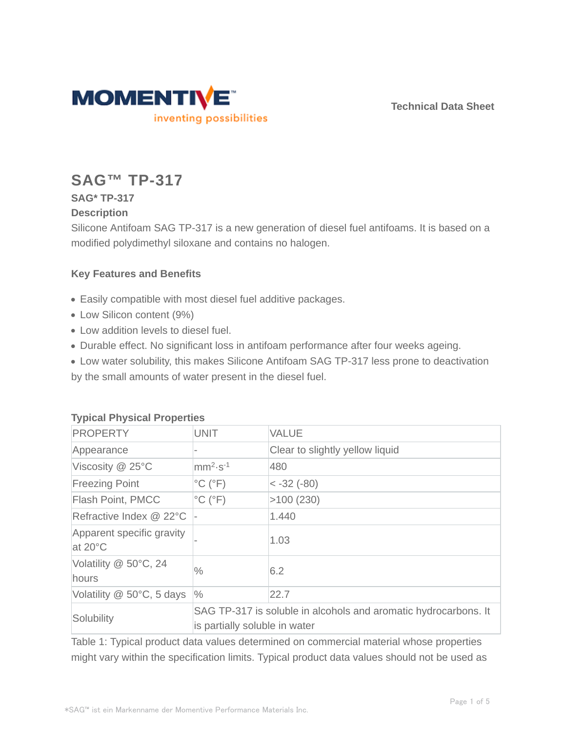**Technical Data Sheet**



# **SAG™ TP-317**

## **SAG\* TP-317**

### **Description**

Silicone Antifoam SAG TP-317 is a new generation of diesel fuel antifoams. It is based on a modified polydimethyl siloxane and contains no halogen.

## **Key Features and Benefits**

- Easily compatible with most diesel fuel additive packages.
- Low Silicon content (9%)
- Low addition levels to diesel fuel.
- Durable effect. No significant loss in antifoam performance after four weeks ageing.
- Low water solubility, this makes Silicone Antifoam SAG TP-317 less prone to deactivation

by the small amounts of water present in the diesel fuel.

| <b>PROPERTY</b>                      | <b>UNIT</b>                                                                                      | <b>VALUE</b>                    |  |  |
|--------------------------------------|--------------------------------------------------------------------------------------------------|---------------------------------|--|--|
| Appearance                           |                                                                                                  | Clear to slightly yellow liquid |  |  |
| Viscosity @ 25°C                     | $mm2·s-1$                                                                                        | 480                             |  |  |
| <b>Freezing Point</b>                | $^{\circ}$ C ( $^{\circ}$ F)                                                                     | $ < -32$ (-80)                  |  |  |
| Flash Point, PMCC                    | $^{\circ}$ C ( $^{\circ}$ F)                                                                     | >100(230)                       |  |  |
| Refractive Index @ 22°C              |                                                                                                  | 1.440                           |  |  |
| Apparent specific gravity<br>at 20°C |                                                                                                  | 1.03                            |  |  |
| Volatility @ 50°C, 24<br>hours       | $\frac{0}{0}$                                                                                    | 6.2                             |  |  |
| Volatility @ 50°C, 5 days            | $\frac{0}{0}$                                                                                    | 22.7                            |  |  |
| Solubility                           | SAG TP-317 is soluble in alcohols and aromatic hydrocarbons. It<br>is partially soluble in water |                                 |  |  |

## **Typical Physical Properties**

Table 1: Typical product data values determined on commercial material whose properties might vary within the specification limits. Typical product data values should not be used as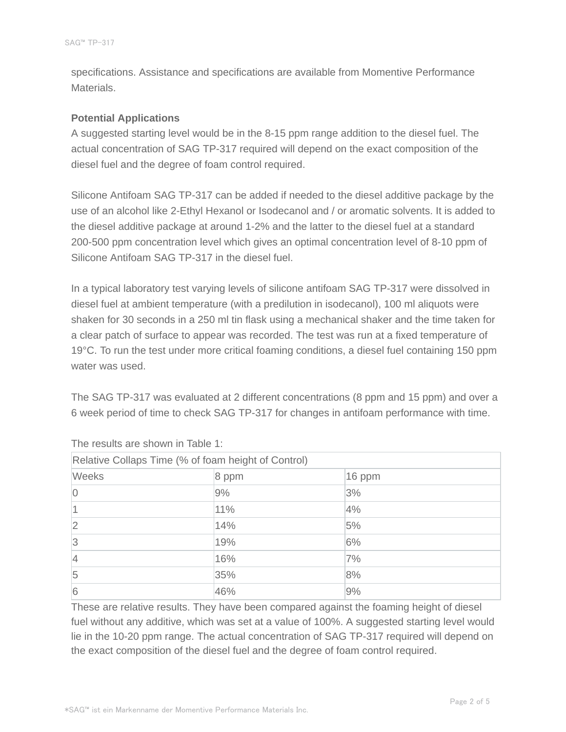specifications. Assistance and specifications are available from Momentive Performance Materials.

#### **Potential Applications**

A suggested starting level would be in the 8-15 ppm range addition to the diesel fuel. The actual concentration of SAG TP-317 required will depend on the exact composition of the diesel fuel and the degree of foam control required.

Silicone Antifoam SAG TP-317 can be added if needed to the diesel additive package by the use of an alcohol like 2-Ethyl Hexanol or Isodecanol and / or aromatic solvents. It is added to the diesel additive package at around 1-2% and the latter to the diesel fuel at a standard 200-500 ppm concentration level which gives an optimal concentration level of 8-10 ppm of Silicone Antifoam SAG TP-317 in the diesel fuel.

In a typical laboratory test varying levels of silicone antifoam SAG TP-317 were dissolved in diesel fuel at ambient temperature (with a predilution in isodecanol), 100 ml aliquots were shaken for 30 seconds in a 250 ml tin flask using a mechanical shaker and the time taken for a clear patch of surface to appear was recorded. The test was run at a fixed temperature of 19°C. To run the test under more critical foaming conditions, a diesel fuel containing 150 ppm water was used.

The SAG TP-317 was evaluated at 2 different concentrations (8 ppm and 15 ppm) and over a 6 week period of time to check SAG TP-317 for changes in antifoam performance with time.

| Relative Collaps Time (% of foam height of Control) |       |          |  |  |  |
|-----------------------------------------------------|-------|----------|--|--|--|
| <b>Weeks</b>                                        | 8 ppm | $16$ ppm |  |  |  |
| $\overline{0}$                                      | 9%    | 3%       |  |  |  |
|                                                     | 11%   | 4%       |  |  |  |
| $\overline{2}$                                      | 14%   | 5%       |  |  |  |
| 3                                                   | 19%   | 6%       |  |  |  |
| $\vert 4$                                           | 16%   | 7%       |  |  |  |
| 5                                                   | 35%   | 8%       |  |  |  |
| 6                                                   | 46%   | 9%       |  |  |  |

The results are shown in Table 1:

These are relative results. They have been compared against the foaming height of diesel fuel without any additive, which was set at a value of 100%. A suggested starting level would lie in the 10-20 ppm range. The actual concentration of SAG TP-317 required will depend on the exact composition of the diesel fuel and the degree of foam control required.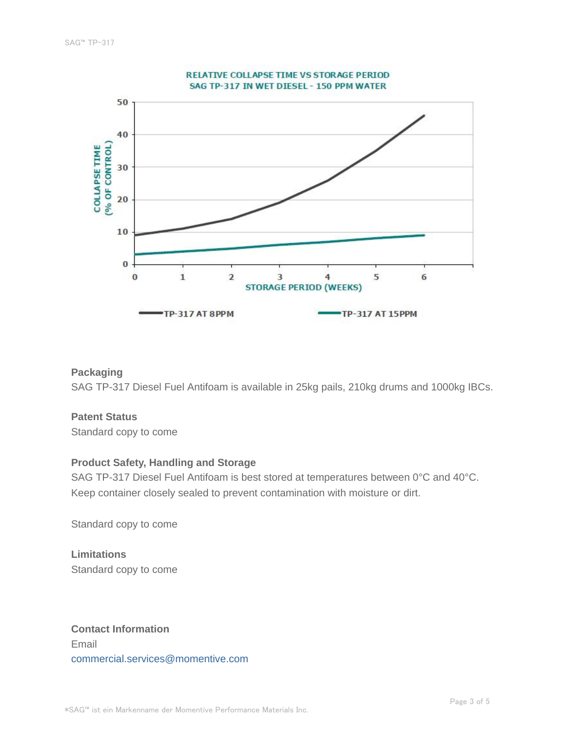

#### **Packaging**

SAG TP-317 Diesel Fuel Antifoam is available in 25kg pails, 210kg drums and 1000kg IBCs.

#### **Patent Status**

Standard copy to come

#### **Product Safety, Handling and Storage**

SAG TP-317 Diesel Fuel Antifoam is best stored at temperatures between 0°C and 40°C. Keep container closely sealed to prevent contamination with moisture or dirt.

Standard copy to come

**Limitations** Standard copy to come

**Contact Information** Email commercial.services@momentive.com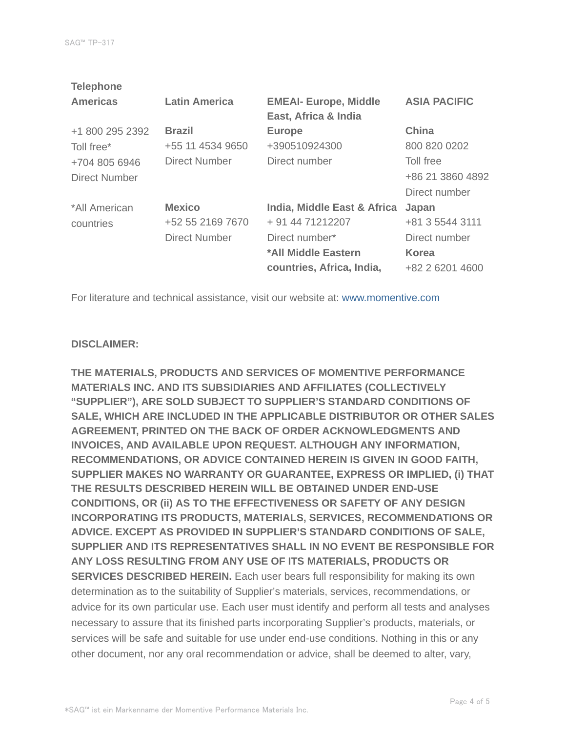| <b>Telephone</b>     |                      |                              |                     |
|----------------------|----------------------|------------------------------|---------------------|
| <b>Americas</b>      | <b>Latin America</b> | <b>EMEAI- Europe, Middle</b> | <b>ASIA PACIFIC</b> |
|                      |                      | East, Africa & India         |                     |
| +1 800 295 2392      | <b>Brazil</b>        | <b>Europe</b>                | China               |
| Toll free*           | +55 11 4534 9650     | +390510924300                | 800 820 0202        |
| +704 805 6946        | <b>Direct Number</b> | Direct number                | Toll free           |
| <b>Direct Number</b> |                      |                              | +86 21 3860 4892    |
|                      |                      |                              | Direct number       |
| *All American        | <b>Mexico</b>        | India, Middle East & Africa  | Japan               |
| countries            | +52 55 2169 7670     | + 91 44 71212207             | +81 3 5544 3111     |
|                      | Direct Number        | Direct number*               | Direct number       |
|                      |                      | *All Middle Eastern          | <b>Korea</b>        |
|                      |                      | countries, Africa, India,    | +82 2 6201 4600     |
|                      |                      |                              |                     |

For literature and technical assistance, visit our website at: www.momentive.com

#### **DISCLAIMER:**

**THE MATERIALS, PRODUCTS AND SERVICES OF MOMENTIVE PERFORMANCE MATERIALS INC. AND ITS SUBSIDIARIES AND AFFILIATES (COLLECTIVELY "SUPPLIER"), ARE SOLD SUBJECT TO SUPPLIER'S STANDARD CONDITIONS OF SALE, WHICH ARE INCLUDED IN THE APPLICABLE DISTRIBUTOR OR OTHER SALES AGREEMENT, PRINTED ON THE BACK OF ORDER ACKNOWLEDGMENTS AND INVOICES, AND AVAILABLE UPON REQUEST. ALTHOUGH ANY INFORMATION, RECOMMENDATIONS, OR ADVICE CONTAINED HEREIN IS GIVEN IN GOOD FAITH, SUPPLIER MAKES NO WARRANTY OR GUARANTEE, EXPRESS OR IMPLIED, (i) THAT THE RESULTS DESCRIBED HEREIN WILL BE OBTAINED UNDER END-USE CONDITIONS, OR (ii) AS TO THE EFFECTIVENESS OR SAFETY OF ANY DESIGN INCORPORATING ITS PRODUCTS, MATERIALS, SERVICES, RECOMMENDATIONS OR ADVICE. EXCEPT AS PROVIDED IN SUPPLIER'S STANDARD CONDITIONS OF SALE, SUPPLIER AND ITS REPRESENTATIVES SHALL IN NO EVENT BE RESPONSIBLE FOR ANY LOSS RESULTING FROM ANY USE OF ITS MATERIALS, PRODUCTS OR SERVICES DESCRIBED HEREIN.** Each user bears full responsibility for making its own determination as to the suitability of Supplier's materials, services, recommendations, or advice for its own particular use. Each user must identify and perform all tests and analyses necessary to assure that its finished parts incorporating Supplier's products, materials, or services will be safe and suitable for use under end-use conditions. Nothing in this or any other document, nor any oral recommendation or advice, shall be deemed to alter, vary,